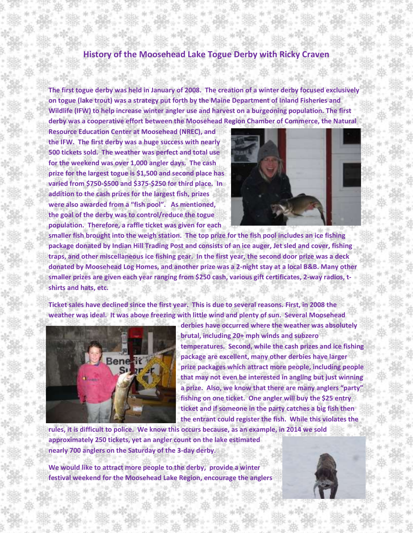## **History of the Moosehead Lake Togue Derby with Ricky Craven**

**The first togue derby was held in January of 2008. The creation of a winter derby focused exclusively on togue (lake trout) was a strategy put forth by the Maine Department of Inland Fisheries and Wildlife (IFW) to help increase winter angler use and harvest on a burgeoning population. The first derby was a cooperative effort between the Moosehead Region Chamber of Commerce, the Natural** 

**Resource Education Center at Moosehead (NREC), and the IFW. The first derby was a huge success with nearly 500 tickets sold. The weather was perfect and total use for the weekend was over 1,000 angler days. The cash prize for the largest togue is \$1,500 and second place has varied from \$750-\$500 and \$375-\$250 for third place. In addition to the cash prizes for the largest fish, prizes were also awarded from a "fish pool". As mentioned, the goal of the derby was to control/reduce the togue population. Therefore, a raffle ticket was given for each** 



**smaller fish brought into the weigh station. The top prize for the fish pool includes an ice fishing package donated by Indian Hill Trading Post and consists of an ice auger, Jet sled and cover, fishing traps, and other miscellaneous ice fishing gear. In the first year, the second door prize was a deck donated by Moosehead Log Homes, and another prize was a 2-night stay at a local B&B. Many other smaller prizes are given each year ranging from \$250 cash, various gift certificates, 2-way radios, tshirts and hats, etc.** 

**Ticket sales have declined since the first year. This is due to several reasons. First, in 2008 the weather was ideal. It was above freezing with little wind and plenty of sun. Several Moosehead** 



**derbies have occurred where the weather was absolutely brutal, including 20+ mph winds and subzero temperatures. Second, while the cash prizes and ice fishing package are excellent, many other derbies have larger prize packages which attract more people, including people that may not even be interested in angling but just winning a prize. Also, we know that there are many anglers "party" fishing on one ticket. One angler will buy the \$25 entry ticket and if someone in the party catches a big fish then the entrant could register the fish. While this violates the** 

**rules, it is difficult to police. We know this occurs because, as an example, in 2014 we sold approximately 250 tickets, yet an angler count on the lake estimated nearly 700 anglers on the Saturday of the 3-day derby.**

**We would like to attract more people to the derby, provide a winter festival weekend for the Moosehead Lake Region, encourage the anglers**